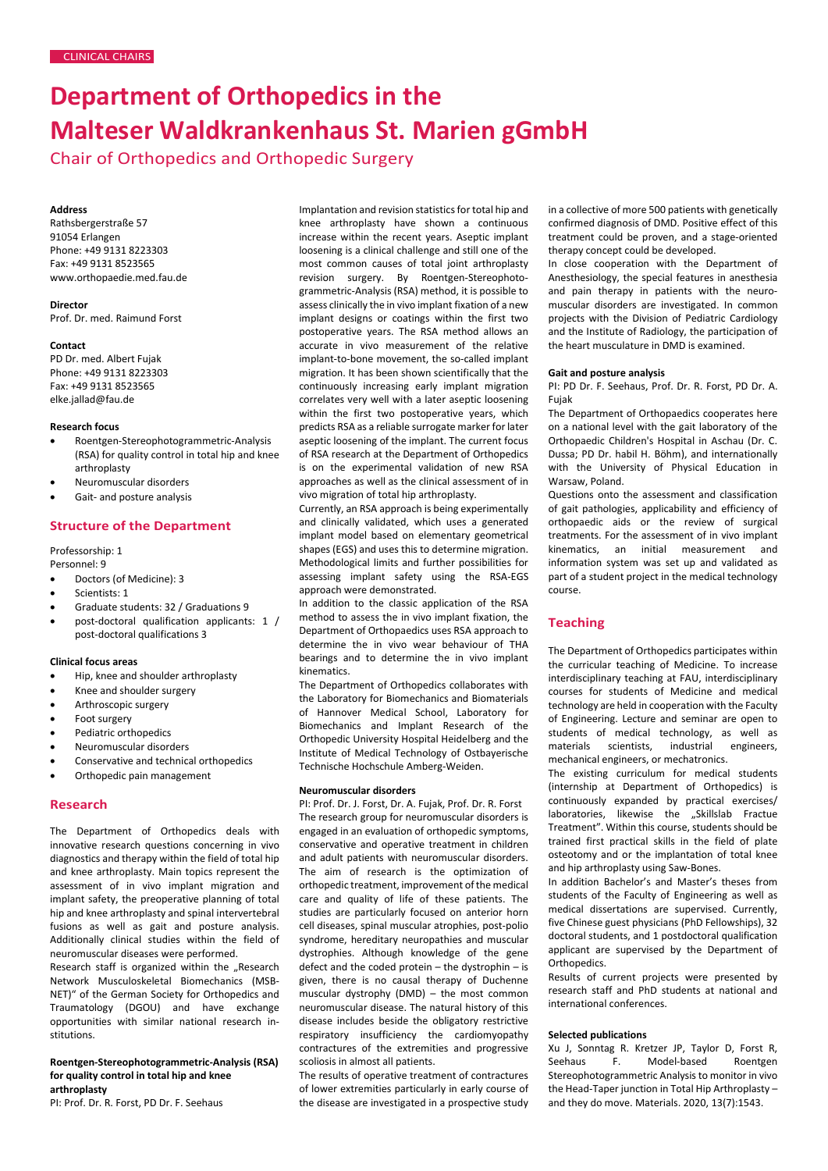# **Department of Orthopedics in the Malteser Waldkrankenhaus St. Marien gGmbH**

Chair of Orthopedics and Orthopedic Surgery

## **Address**

Rathsbergerstraße 57 91054 Erlangen Phone: +49 9131 8223303 Fax: +49 9131 8523565 [www.orthopaedie.med.fau.de](http://www.orthopaedie.med.fau.de/)

**Director** Prof. Dr. med. Raimund Forst

### **Contact**

PD Dr. med. Albert Fujak Phone: +49 9131 8223303 Fax: +49 9131 8523565 [elke.jallad@fau.de](mailto:elke.jallad@fau.de)

### **Research focus**

- Roentgen-Stereophotogrammetric-Analysis (RSA) for quality control in total hip and knee arthroplasty
- Neuromuscular disorders
- Gait- and posture analysis

# **Structure of the Department**

# Professorship: 1

Personnel: 9

- Doctors (of Medicine): 3
- Scientists: 1
- Graduate students: 32 / Graduations 9
- post-doctoral qualification applicants: 1 / post-doctoral qualifications 3

### **Clinical focus areas**

- Hip, knee and shoulder arthroplasty
- Knee and shoulder surgery
- Arthroscopic surgery
- Foot surgery
- Pediatric orthopedics
- Neuromuscular disorders
- Conservative and technical orthopedics
- Orthopedic pain management

# **Research**

The Department of Orthopedics deals with innovative research questions concerning in vivo diagnostics and therapy within the field of total hip and knee arthroplasty. Main topics represent the assessment of in vivo implant migration and implant safety, the preoperative planning of total hip and knee arthroplasty and spinal intervertebral fusions as well as gait and posture analysis. Additionally clinical studies within the field of neuromuscular diseases were performed.

Research staff is organized within the "Research Network Musculoskeletal Biomechanics (MSB-NET)" of the German Society for Orthopedics and Traumatology (DGOU) and have exchange opportunities with similar national research institutions.

## **Roentgen-Stereophotogrammetric-Analysis (RSA) for quality control in total hip and knee arthroplasty**

PI: Prof. Dr. R. Forst, PD Dr. F. Seehaus

Implantation and revision statistics for total hip and knee arthroplasty have shown a continuous increase within the recent years. Aseptic implant loosening is a clinical challenge and still one of the most common causes of total joint arthroplasty revision surgery. By Roentgen-Stereophotogrammetric-Analysis (RSA) method, it is possible to assess clinically the in vivo implant fixation of a new implant designs or coatings within the first two postoperative years. The RSA method allows an accurate in vivo measurement of the relative implant-to-bone movement, the so-called implant migration. It has been shown scientifically that the continuously increasing early implant migration correlates very well with a later aseptic loosening within the first two postoperative years, which predicts RSA as a reliable surrogate marker for later aseptic loosening of the implant. The current focus of RSA research at the Department of Orthopedics is on the experimental validation of new RSA approaches as well as the clinical assessment of in vivo migration of total hip arthroplasty.

Currently, an RSA approach is being experimentally and clinically validated, which uses a generated implant model based on elementary geometrical shapes (EGS) and uses this to determine migration. Methodological limits and further possibilities for assessing implant safety using the RSA-EGS approach were demonstrated.

In addition to the classic application of the RSA method to assess the in vivo implant fixation, the Department of Orthopaedics uses RSA approach to determine the in vivo wear behaviour of THA bearings and to determine the in vivo implant kinematics.

The Department of Orthopedics collaborates with the Laboratory for Biomechanics and Biomaterials of Hannover Medical School, Laboratory for Biomechanics and Implant Research of the Orthopedic University Hospital Heidelberg and the Institute of Medical Technology of Ostbayerische Technische Hochschule Amberg-Weiden.

## **Neuromuscular disorders**

PI: Prof. Dr. J. Forst, Dr. A. Fujak, Prof. Dr. R. Forst The research group for neuromuscular disorders is engaged in an evaluation of orthopedic symptoms, conservative and operative treatment in children and adult patients with neuromuscular disorders. The aim of research is the optimization of orthopedic treatment, improvement of the medical care and quality of life of these patients. The studies are particularly focused on anterior horn cell diseases, spinal muscular atrophies, post-polio syndrome, hereditary neuropathies and muscular dystrophies. Although knowledge of the gene defect and the coded protein – the dystrophin – is given, there is no causal therapy of Duchenne muscular dystrophy (DMD) – the most common neuromuscular disease. The natural history of this disease includes beside the obligatory restrictive respiratory insufficiency the cardiomyopathy contractures of the extremities and progressive scoliosis in almost all patients.

The results of operative treatment of contractures of lower extremities particularly in early course of the disease are investigated in a prospective study

in a collective of more 500 patients with genetically confirmed diagnosis of DMD. Positive effect of this treatment could be proven, and a stage-oriented therapy concept could be developed.

In close cooperation with the Department of Anesthesiology, the special features in anesthesia and pain therapy in patients with the neuromuscular disorders are investigated. In common projects with the Division of Pediatric Cardiology and the Institute of Radiology, the participation of the heart musculature in DMD is examined.

#### **Gait and posture analysis**

PI: PD Dr. F. Seehaus, Prof. Dr. R. Forst, PD Dr. A. Fujak

The Department of Orthopaedics cooperates here on a national level with the gait laboratory of the Orthopaedic Children's Hospital in Aschau (Dr. C. Dussa; PD Dr. habil H. Böhm), and internationally with the University of Physical Education in Warsaw, Poland.

Questions onto the assessment and classification of gait pathologies, applicability and efficiency of orthopaedic aids or the review of surgical treatments. For the assessment of in vivo implant kinematics, an initial measurement and information system was set up and validated as part of a student project in the medical technology course.

## **Teaching**

The Department of Orthopedics participates within the curricular teaching of Medicine. To increase interdisciplinary teaching at FAU, interdisciplinary courses for students of Medicine and medical technology are held in cooperation with the Faculty of Engineering. Lecture and seminar are open to students of medical technology, as well as materials scientists, industrial engineers, mechanical engineers, or mechatronics.

The existing curriculum for medical students (internship at Department of Orthopedics) is continuously expanded by practical exercises/ laboratories, likewise the "Skillslab Fractue Treatment". Within this course, students should be trained first practical skills in the field of plate osteotomy and or the implantation of total knee and hip arthroplasty using Saw-Bones.

In addition Bachelor's and Master's theses from students of the Faculty of Engineering as well as medical dissertations are supervised. Currently, five Chinese guest physicians (PhD Fellowships), 32 doctoral students, and 1 postdoctoral qualification applicant are supervised by the Department of Orthopedics.

Results of current projects were presented by research staff and PhD students at national and international conferences.

### **Selected publications**

Xu J, Sonntag R. Kretzer JP, Taylor D, Forst R, Seehaus F. Model-based Roentgen Stereophotogrammetric Analysis to monitor in vivo the Head-Taper junction in Total Hip Arthroplasty – and they do move. Materials. 2020, 13(7):1543.